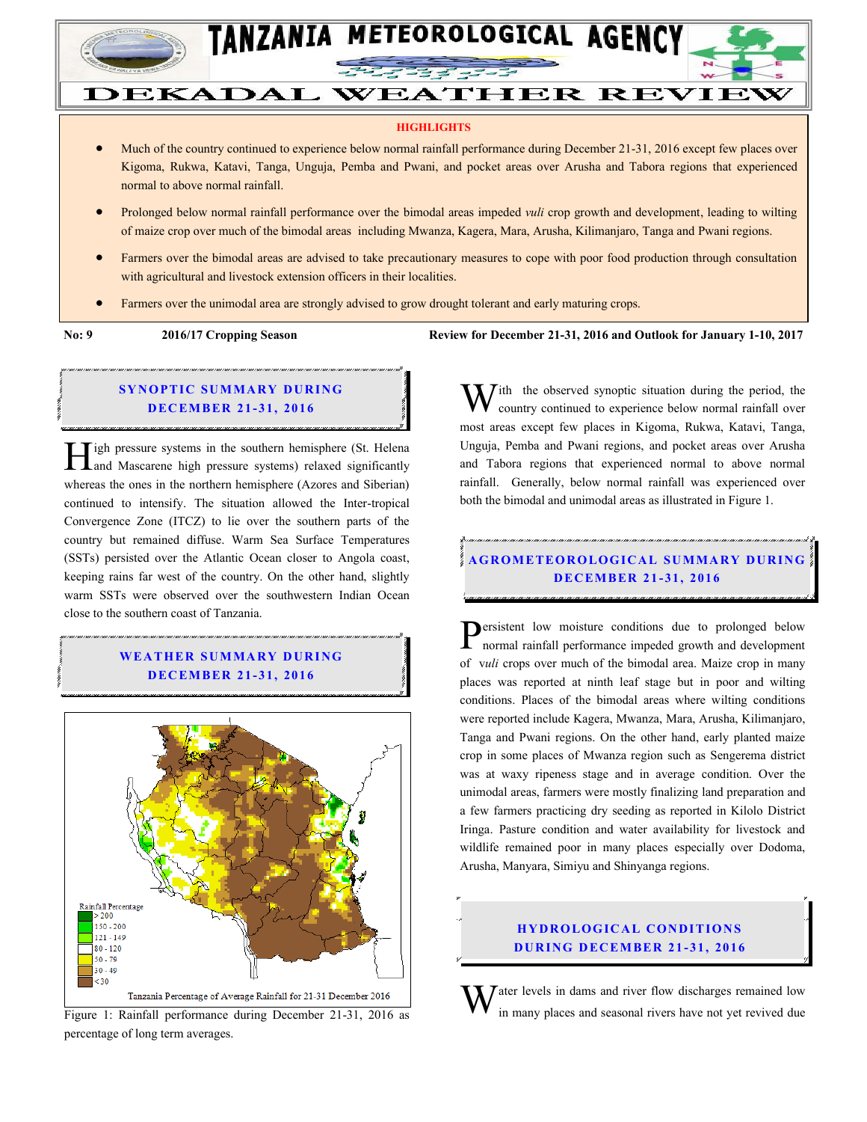

#### **HIGHLIGHTS**

**DEKADAL WEATHER REVIEW** 

- Much of the country continued to experience below normal rainfall performance during December 21-31, 2016 except few places over Kigoma, Rukwa, Katavi, Tanga, Unguja, Pemba and Pwani, and pocket areas over Arusha and Tabora regions that experienced normal to above normal rainfall.
- Prolonged below normal rainfall performance over the bimodal areas impeded *vuli* crop growth and development, leading to wilting of maize crop over much of the bimodal areas including Mwanza, Kagera, Mara, Arusha, Kilimanjaro, Tanga and Pwani regions.
- Farmers over the bimodal areas are advised to take precautionary measures to cope with poor food production through consultation with agricultural and livestock extension officers in their localities.
- Farmers over the unimodal area are strongly advised to grow drought tolerant and early maturing crops.

**No: 9 2016/17 Cropping Season Review for December 21-31, 2016 and Outlook for January 1-10, 2017**

### **SYNOPTIC SUMMARY DURING D EC EMBER 21 - 31, 201 6**

igh pressure systems in the southern hemisphere (St. Helena **1.** Tigh pressure systems in the southern hemisphere (St. Helena and Mascarene high pressure systems) relaxed significantly whereas the ones in the northern hemisphere (Azores and Siberian) continued to intensify. The situation allowed the Inter-tropical Convergence Zone (ITCZ) to lie over the southern parts of the country but remained diffuse. Warm Sea Surface Temperatures (SSTs) persisted over the Atlantic Ocean closer to Angola coast, keeping rains far west of the country. On the other hand, slightly warm SSTs were observed over the southwestern Indian Ocean close to the southern coast of Tanzania.

## **WEA TH ER SU MMA RY D UR ING D EC EMBER 21 - 31, 201 6**



Figure 1: Rainfall performance during December 21-31, 2016 as percentage of long term averages.

 $\overline{I}$  ith the observed synoptic situation during the period, the country continued to experience below normal rainfall over most areas except few places in Kigoma, Rukwa, Katavi, Tanga, Unguja, Pemba and Pwani regions, and pocket areas over Arusha and Tabora regions that experienced normal to above normal rainfall. Generally, below normal rainfall was experienced over both the bimodal and unimodal areas as illustrated in Figure 1. W

# **A G RO METEO R O LOG ICA L SU MMA RY D UR ING D EC EMBER 21 - 31, 2016**

**P**ersistent low moisture conditions due to prolonged below normal rainfall performance impeded growth and development normal rainfall performance impeded growth and development of v*uli* crops over much of the bimodal area. Maize crop in many places was reported at ninth leaf stage but in poor and wilting conditions. Places of the bimodal areas where wilting conditions were reported include Kagera, Mwanza, Mara, Arusha, Kilimanjaro, Tanga and Pwani regions. On the other hand, early planted maize crop in some places of Mwanza region such as Sengerema district was at waxy ripeness stage and in average condition. Over the unimodal areas, farmers were mostly finalizing land preparation and a few farmers practicing dry seeding as reported in Kilolo District Iringa. Pasture condition and water availability for livestock and wildlife remained poor in many places especially over Dodoma, Arusha, Manyara, Simiyu and Shinyanga regions.

#### **HYDROLOGICAL CONDITIONS D UR ING D EC EMBER 21 - 31, 2016**

 $\bar{J}$  ater levels in dams and river flow discharges remained low in many places and seasonal rivers have not yet revived due W